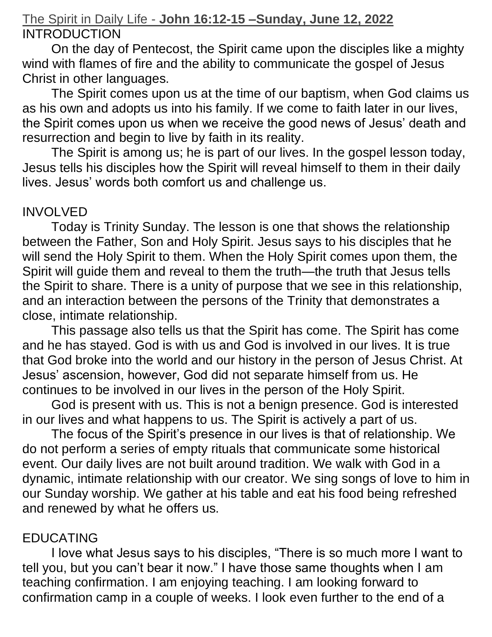# The Spirit in Daily Life - **John 16:12-15 –Sunday, June 12, 2022 INTRODUCTION**

On the day of Pentecost, the Spirit came upon the disciples like a mighty wind with flames of fire and the ability to communicate the gospel of Jesus Christ in other languages.

The Spirit comes upon us at the time of our baptism, when God claims us as his own and adopts us into his family. If we come to faith later in our lives, the Spirit comes upon us when we receive the good news of Jesus' death and resurrection and begin to live by faith in its reality.

The Spirit is among us; he is part of our lives. In the gospel lesson today, Jesus tells his disciples how the Spirit will reveal himself to them in their daily lives. Jesus' words both comfort us and challenge us.

## INVOLVED

Today is Trinity Sunday. The lesson is one that shows the relationship between the Father, Son and Holy Spirit. Jesus says to his disciples that he will send the Holy Spirit to them. When the Holy Spirit comes upon them, the Spirit will guide them and reveal to them the truth—the truth that Jesus tells the Spirit to share. There is a unity of purpose that we see in this relationship, and an interaction between the persons of the Trinity that demonstrates a close, intimate relationship.

This passage also tells us that the Spirit has come. The Spirit has come and he has stayed. God is with us and God is involved in our lives. It is true that God broke into the world and our history in the person of Jesus Christ. At Jesus' ascension, however, God did not separate himself from us. He continues to be involved in our lives in the person of the Holy Spirit.

God is present with us. This is not a benign presence. God is interested in our lives and what happens to us. The Spirit is actively a part of us.

The focus of the Spirit's presence in our lives is that of relationship. We do not perform a series of empty rituals that communicate some historical event. Our daily lives are not built around tradition. We walk with God in a dynamic, intimate relationship with our creator. We sing songs of love to him in our Sunday worship. We gather at his table and eat his food being refreshed and renewed by what he offers us.

# EDUCATING

I love what Jesus says to his disciples, "There is so much more I want to tell you, but you can't bear it now." I have those same thoughts when I am teaching confirmation. I am enjoying teaching. I am looking forward to confirmation camp in a couple of weeks. I look even further to the end of a